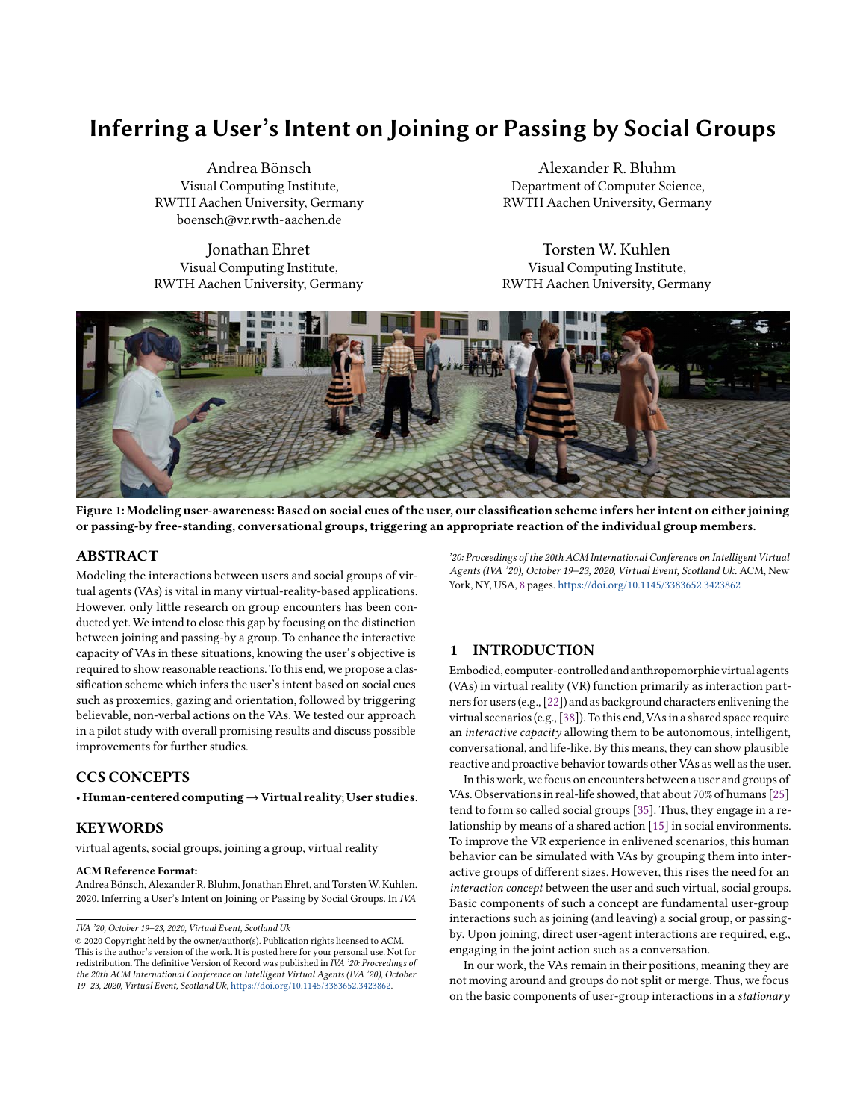# Inferring a User's Intent on Joining or Passing by Social Groups

Andrea Bönsch Visual Computing Institute, RWTH Aachen University, Germany boensch@vr.rwth-aachen.de

Jonathan Ehret Visual Computing Institute, RWTH Aachen University, Germany

Alexander R. Bluhm Department of Computer Science, RWTH Aachen University, Germany

Torsten W. Kuhlen Visual Computing Institute, RWTH Aachen University, Germany

<span id="page-0-0"></span>

Figure 1: Modeling user-awareness: Based on social cues of the user, our classification scheme infers her intent on either joining or passing-by free-standing, conversational groups, triggering an appropriate reaction of the individual group members.

## ABSTRACT

Modeling the interactions between users and social groups of virtual agents (VAs) is vital in many virtual-reality-based applications. However, only little research on group encounters has been conducted yet. We intend to close this gap by focusing on the distinction between joining and passing-by a group. To enhance the interactive capacity of VAs in these situations, knowing the user's objective is required to show reasonable reactions. To this end, we propose a classification scheme which infers the user's intent based on social cues such as proxemics, gazing and orientation, followed by triggering believable, non-verbal actions on the VAs. We tested our approach in a pilot study with overall promising results and discuss possible improvements for further studies.

## CCS CONCEPTS

• Human-centered computing→Virtual reality; User studies.

## **KEYWORDS**

virtual agents, social groups, joining a group, virtual reality

#### ACM Reference Format:

Andrea Bönsch, Alexander R. Bluhm, Jonathan Ehret, and Torsten W. Kuhlen. 2020. Inferring a User's Intent on Joining or Passing by Social Groups. In IVA

'20: Proceedings of the 20th ACM International Conference on Intelligent Virtual Agents (IVA '20), October 19–23, 2020, Virtual Event, Scotland Uk. ACM, New York, NY, USA, [8](#page-7-0) pages. <https://doi.org/10.1145/3383652.3423862>

## 1 INTRODUCTION

Embodied, computer-controlled and anthropomorphicvirtual agents (VAs) in virtual reality (VR) function primarily as interaction partners for users(e.g., [\[22\]](#page-7-1)) and as background characters enlivening the virtual scenarios(e.g., [\[38\]](#page-7-2)). To this end,VAs in a shared space require an interactive capacity allowing them to be autonomous, intelligent, conversational, and life-like. By this means, they can show plausible reactive and proactive behavior towards other VAs as well as the user.

In this work, we focus on encounters between a user and groups of VAs. Observations in real-life showed, that about 70% of humans [\[25\]](#page-7-3) tend to form so called social groups [\[35\]](#page-7-4). Thus, they engage in a relationship by means of a shared action [\[15\]](#page-7-5) in social environments. To improve the VR experience in enlivened scenarios, this human behavior can be simulated with VAs by grouping them into interactive groups of different sizes. However, this rises the need for an interaction concept between the user and such virtual, social groups. Basic components of such a concept are fundamental user-group interactions such as joining (and leaving) a social group, or passingby. Upon joining, direct user-agent interactions are required, e.g., engaging in the joint action such as a conversation.

In our work, the VAs remain in their positions, meaning they are not moving around and groups do not split or merge. Thus, we focus on the basic components of user-group interactions in a stationary

IVA '20, October 19–23, 2020, Virtual Event, Scotland Uk

<sup>©</sup> 2020 Copyright held by the owner/author(s). Publication rights licensed to ACM. This is the author's version of the work. It is posted here for your personal use. Not for redistribution. The definitive Version of Record was published in  $\overline{I}VA$  '20: Proceedings of the 20th ACM International Conference on Intelligent Virtual Agents (IVA '20), October 19–23, 2020, Virtual Event, Scotland Uk, [https://doi.org/10.1145/3383652.3423862.](https://doi.org/10.1145/3383652.3423862)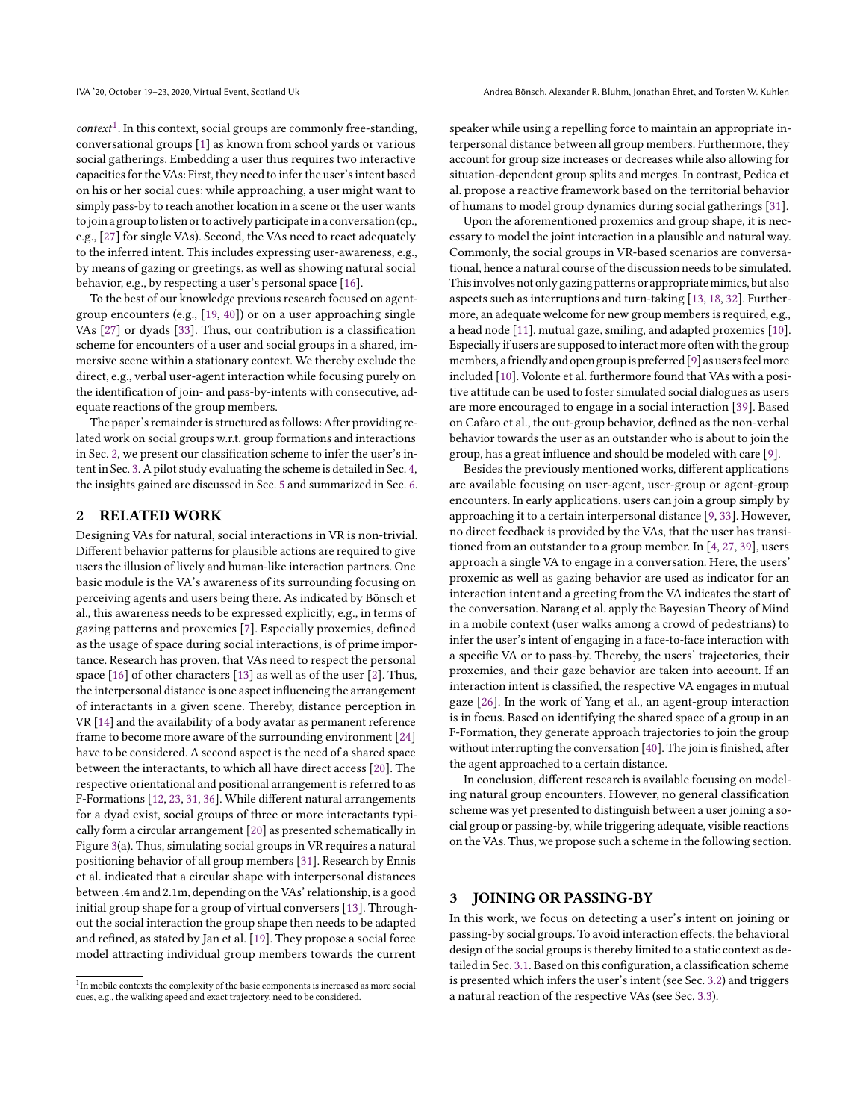$context<sup>1</sup>$  $context<sup>1</sup>$  $context<sup>1</sup>$ . In this context, social groups are commonly free-standing, conversational groups [\[1\]](#page-7-6) as known from school yards or various social gatherings. Embedding a user thus requires two interactive capacities for theVAs: First, they need to infer the user's intent based on his or her social cues: while approaching, a user might want to simply pass-by to reach another location in a scene or the user wants to join a group to listen or to actively participate in a conversation (cp., e.g., [\[27\]](#page-7-7) for single VAs). Second, the VAs need to react adequately to the inferred intent. This includes expressing user-awareness, e.g., by means of gazing or greetings, as well as showing natural social behavior, e.g., by respecting a user's personal space [\[16\]](#page-7-8).

To the best of our knowledge previous research focused on agentgroup encounters (e.g., [\[19,](#page-7-9) [40\]](#page-7-10)) or on a user approaching single VAs [\[27\]](#page-7-7) or dyads [\[33\]](#page-7-11). Thus, our contribution is a classification scheme for encounters of a user and social groups in a shared, immersive scene within a stationary context. We thereby exclude the direct, e.g., verbal user-agent interaction while focusing purely on the identification of join- and pass-by-intents with consecutive, adequate reactions of the group members.

The paper's remainder is structured as follows: After providing related work on social groups w.r.t. group formations and interactions in Sec. [2,](#page-1-1) we present our classification scheme to infer the user's intent in Sec. [3.](#page-1-2) A pilot study evaluating the scheme is detailed in Sec. [4,](#page-4-0) the insights gained are discussed in Sec. [5](#page-5-0) and summarized in Sec. [6.](#page-7-12)

## <span id="page-1-1"></span>2 RELATED WORK

Designing VAs for natural, social interactions in VR is non-trivial. Different behavior patterns for plausible actions are required to give users the illusion of lively and human-like interaction partners. One basic module is the VA's awareness of its surrounding focusing on perceiving agents and users being there. As indicated by Bönsch et al., this awareness needs to be expressed explicitly, e.g., in terms of gazing patterns and proxemics [\[7\]](#page-7-13). Especially proxemics, defined as the usage of space during social interactions, is of prime importance. Research has proven, that VAs need to respect the personal space [\[16\]](#page-7-8) of other characters [\[13\]](#page-7-14) as well as of the user [\[2\]](#page-7-15). Thus, the interpersonal distance is one aspect influencing the arrangement of interactants in a given scene. Thereby, distance perception in VR [\[14\]](#page-7-16) and the availability of a body avatar as permanent reference frame to become more aware of the surrounding environment [\[24\]](#page-7-17) have to be considered. A second aspect is the need of a shared space between the interactants, to which all have direct access [\[20\]](#page-7-18). The respective orientational and positional arrangement is referred to as F-Formations [\[12,](#page-7-19) [23,](#page-7-20) [31,](#page-7-21) [36\]](#page-7-22). While different natural arrangements for a dyad exist, social groups of three or more interactants typically form a circular arrangement [\[20\]](#page-7-18) as presented schematically in Figure [3\(](#page-3-0)a). Thus, simulating social groups in VR requires a natural positioning behavior of all group members [\[31\]](#page-7-21). Research by Ennis et al. indicated that a circular shape with interpersonal distances between .4m and 2.1m, depending on the VAs' relationship, is a good initial group shape for a group of virtual conversers [\[13\]](#page-7-14). Throughout the social interaction the group shape then needs to be adapted and refined, as stated by Jan et al. [\[19\]](#page-7-9). They propose a social force model attracting individual group members towards the current

speaker while using a repelling force to maintain an appropriate interpersonal distance between all group members. Furthermore, they account for group size increases or decreases while also allowing for situation-dependent group splits and merges. In contrast, Pedica et al. propose a reactive framework based on the territorial behavior of humans to model group dynamics during social gatherings [\[31\]](#page-7-21).

Upon the aforementioned proxemics and group shape, it is necessary to model the joint interaction in a plausible and natural way. Commonly, the social groups in VR-based scenarios are conversational, hence a natural course of the discussion needs to be simulated. This involves not only gazing patterns or appropriate mimics, but also aspects such as interruptions and turn-taking [\[13,](#page-7-14) [18,](#page-7-23) [32\]](#page-7-24). Furthermore, an adequate welcome for new group members is required, e.g., a head node [\[11\]](#page-7-25), mutual gaze, smiling, and adapted proxemics [\[10\]](#page-7-26). Especially if users are supposed to interact more often with the group members, a friendly and open groupis preferred [\[9\]](#page-7-27) as users feelmore included [\[10\]](#page-7-26). Volonte et al. furthermore found that VAs with a positive attitude can be used to foster simulated social dialogues as users are more encouraged to engage in a social interaction [\[39\]](#page-7-28). Based on Cafaro et al., the out-group behavior, defined as the non-verbal behavior towards the user as an outstander who is about to join the group, has a great influence and should be modeled with care [\[9\]](#page-7-27).

Besides the previously mentioned works, different applications are available focusing on user-agent, user-group or agent-group encounters. In early applications, users can join a group simply by approaching it to a certain interpersonal distance [\[9,](#page-7-27) [33\]](#page-7-11). However, no direct feedback is provided by the VAs, that the user has transitioned from an outstander to a group member. In [\[4,](#page-7-29) [27,](#page-7-7) [39\]](#page-7-28), users approach a single VA to engage in a conversation. Here, the users' proxemic as well as gazing behavior are used as indicator for an interaction intent and a greeting from the VA indicates the start of the conversation. Narang et al. apply the Bayesian Theory of Mind in a mobile context (user walks among a crowd of pedestrians) to infer the user's intent of engaging in a face-to-face interaction with a specific VA or to pass-by. Thereby, the users' trajectories, their proxemics, and their gaze behavior are taken into account. If an interaction intent is classified, the respective VA engages in mutual gaze [\[26\]](#page-7-30). In the work of Yang et al., an agent-group interaction is in focus. Based on identifying the shared space of a group in an F-Formation, they generate approach trajectories to join the group without interrupting the conversation [\[40\]](#page-7-10). The join is finished, after the agent approached to a certain distance.

In conclusion, different research is available focusing on modeling natural group encounters. However, no general classification scheme was yet presented to distinguish between a user joining a social group or passing-by, while triggering adequate, visible reactions on the VAs. Thus, we propose such a scheme in the following section.

#### <span id="page-1-2"></span>3 JOINING OR PASSING-BY

In this work, we focus on detecting a user's intent on joining or passing-by social groups. To avoid interaction effects, the behavioral design of the social groups is thereby limited to a static context as detailed in Sec. [3.1.](#page-2-0) Based on this configuration, a classification scheme is presented which infers the user's intent (see Sec. [3.2\)](#page-2-1) and triggers a natural reaction of the respective VAs (see Sec. [3.3\)](#page-3-1).

<span id="page-1-0"></span><sup>&</sup>lt;sup>1</sup>In mobile contexts the complexity of the basic components is increased as more social cues, e.g., the walking speed and exact trajectory, need to be considered.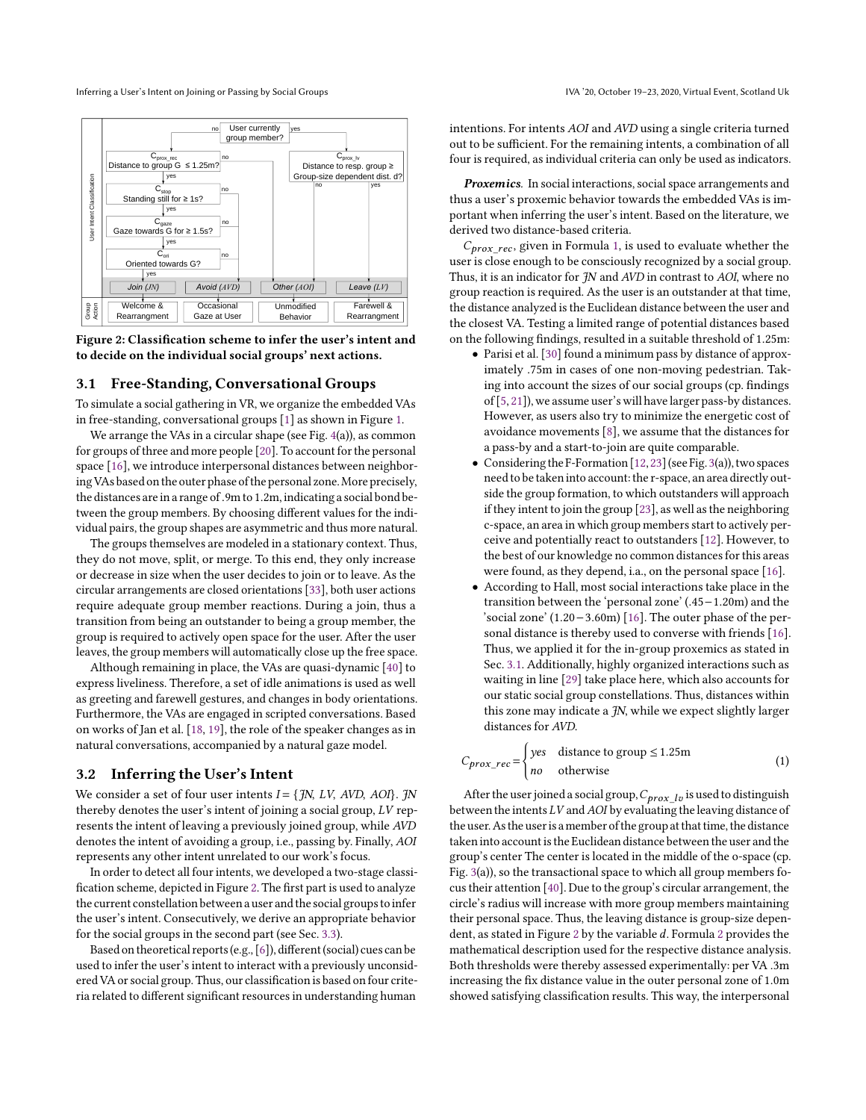Inferring a User's Intent on Joining or Passing by Social Groups IVA '20, October 19-23, 2020, Virtual Event, Scotland Uk

<span id="page-2-2"></span>

Figure 2: Classification scheme to infer the user's intent and to decide on the individual social groups' next actions.

#### <span id="page-2-0"></span>3.1 Free-Standing, Conversational Groups

To simulate a social gathering in VR, we organize the embedded VAs in free-standing, conversational groups [\[1\]](#page-7-6) as shown in Figure [1.](#page-0-0)

We arrange the VAs in a circular shape (see Fig. [4\(](#page-3-2)a)), as common for groups of three and more people [\[20\]](#page-7-18). To account for the personal space [\[16\]](#page-7-8), we introduce interpersonal distances between neighboring VAs based on the outer phase of the personal zone. More precisely, the distances are in a range of .9mto 1.2m, indicating a social bond between the group members. By choosing different values for the individual pairs, the group shapes are asymmetric and thus more natural.

The groups themselves are modeled in a stationary context. Thus, they do not move, split, or merge. To this end, they only increase or decrease in size when the user decides to join or to leave. As the circular arrangements are closed orientations [\[33\]](#page-7-11), both user actions require adequate group member reactions. During a join, thus a transition from being an outstander to being a group member, the group is required to actively open space for the user. After the user leaves, the group members will automatically close up the free space.

Although remaining in place, the VAs are quasi-dynamic [\[40\]](#page-7-10) to express liveliness. Therefore, a set of idle animations is used as well as greeting and farewell gestures, and changes in body orientations. Furthermore, the VAs are engaged in scripted conversations. Based on works of Jan et al. [\[18,](#page-7-23) [19\]](#page-7-9), the role of the speaker changes as in natural conversations, accompanied by a natural gaze model.

#### <span id="page-2-1"></span>3.2 Inferring the User's Intent

We consider a set of four user intents  $I = \{jN, LV, AVD, AOI\}$ .  $jN$ thereby denotes the user's intent of joining a social group, LV represents the intent of leaving a previously joined group, while AVD denotes the intent of avoiding a group, i.e., passing by. Finally, AOI represents any other intent unrelated to our work's focus.

In order to detect all four intents, we developed a two-stage classification scheme, depicted in Figure [2.](#page-2-2) The first part is used to analyze the current constellation between a user and the social groups to infer the user's intent. Consecutively, we derive an appropriate behavior for the social groups in the second part (see Sec. [3.3\)](#page-3-1).

Based on theoretical reports(e.g., [\[6\]](#page-7-31)), different(social) cues can be used to infer the user's intent to interact with a previously unconsideredVAor social group. Thus, our classification is based on four criteria related to different significant resources in understanding human

intentions. For intents AOI and AVD using a single criteria turned out to be sufficient. For the remaining intents, a combination of all four is required, as individual criteria can only be used as indicators.

Proxemics. In social interactions, social space arrangements and thus a user's proxemic behavior towards the embedded VAs is important when inferring the user's intent. Based on the literature, we derived two distance-based criteria.

 $C_{prox}$  rec, given in Formula [1,](#page-2-3) is used to evaluate whether the user is close enough to be consciously recognized by a social group. Thus, it is an indicator for  $N$  and AVD in contrast to AOI, where no group reaction is required. As the user is an outstander at that time, the distance analyzed is the Euclidean distance between the user and the closest VA. Testing a limited range of potential distances based on the following findings, resulted in a suitable threshold of 1.25m:

- Parisi et al. [\[30\]](#page-7-32) found a minimum pass by distance of approximately .75m in cases of one non-moving pedestrian. Taking into account the sizes of our social groups (cp. findings of [\[5,](#page-7-33) [21\]](#page-7-34)), we assume user's will have larger pass-by distances. However, as users also try to minimize the energetic cost of avoidance movements [\[8\]](#page-7-35), we assume that the distances for a pass-by and a start-to-join are quite comparable.
- Considering the F-Formation [\[12,](#page-7-19) [23\]](#page-7-20)(see Fig. [3\(](#page-3-0)a)), two spaces need to be taken into account: the r-space, an area directly outside the group formation, to which outstanders will approach if they intent to join the group [\[23\]](#page-7-20), as well as the neighboring c-space, an area in which group members start to actively perceive and potentially react to outstanders [\[12\]](#page-7-19). However, to the best of our knowledge no common distances for this areas were found, as they depend, i.a., on the personal space [\[16\]](#page-7-8).
- According to Hall, most social interactions take place in the transition between the 'personal zone' (.45−1.20m) and the 'social zone' (1.20−3.60m) [\[16\]](#page-7-8). The outer phase of the personal distance is thereby used to converse with friends [\[16\]](#page-7-8). Thus, we applied it for the in-group proxemics as stated in Sec. [3.1.](#page-2-0) Additionally, highly organized interactions such as waiting in line [\[29\]](#page-7-36) take place here, which also accounts for our static social group constellations. Thus, distances within this zone may indicate a JN, while we expect slightly larger distances for AVD.

<span id="page-2-3"></span>
$$
C_{prox\_rec} = \begin{cases} yes & \text{distance to group } \le 1.25 \text{m} \\ no & \text{otherwise} \end{cases}
$$
 (1)

After the user joined a social group,  $C_{prox}$   $_{lv}$  is used to distinguish between the intents  $LV$  and  $AOI$  by evaluating the leaving distance of the user.As the useris amember of the group at that time, the distance taken into account is the Euclidean distance between the user and the group's center The center is located in the middle of the o-space (cp. Fig. [3\(](#page-3-0)a)), so the transactional space to which all group members focus their attention [\[40\]](#page-7-10). Due to the group's circular arrangement, the circle's radius will increase with more group members maintaining their personal space. Thus, the leaving distance is group-size depen-dent, as stated in Figure [2](#page-3-3) by the variable  $d$ . Formula 2 provides the mathematical description used for the respective distance analysis. Both thresholds were thereby assessed experimentally: per VA .3m increasing the fix distance value in the outer personal zone of 1.0m showed satisfying classification results. This way, the interpersonal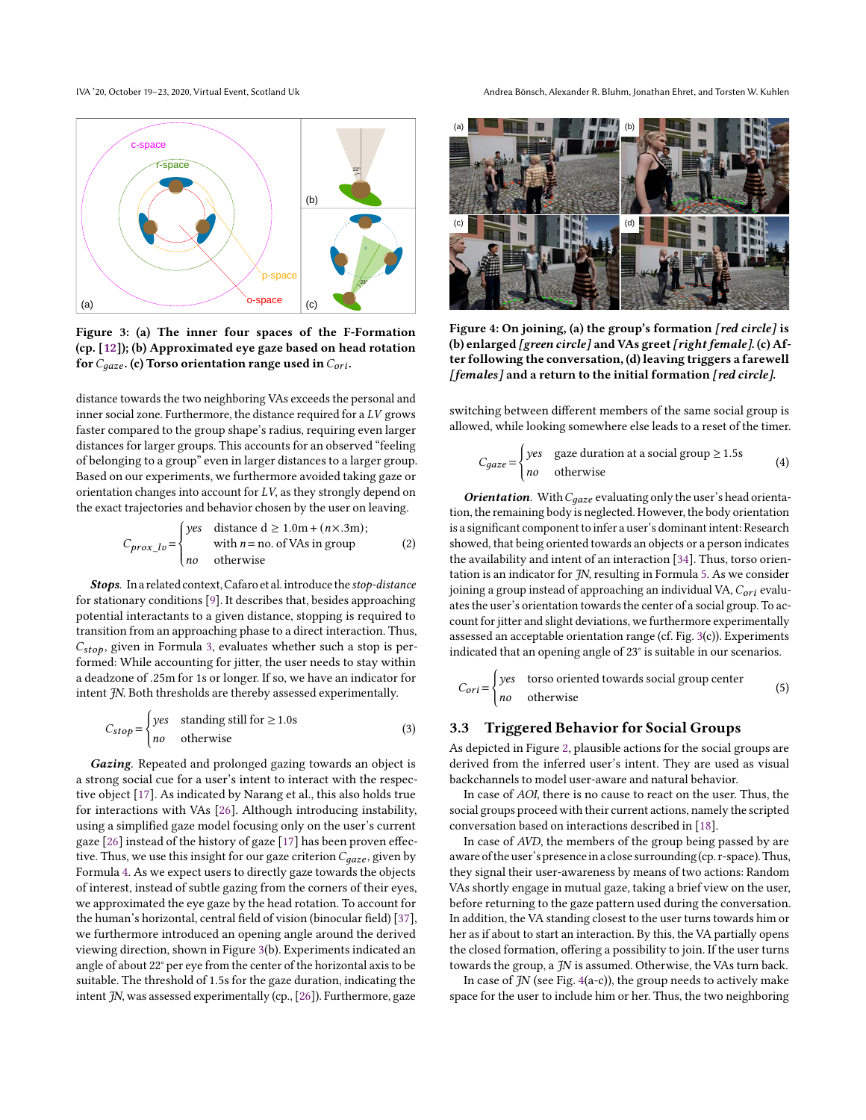<span id="page-3-0"></span>

Figure 3: (a) The inner four spaces of the F-Formation (cp. [\[12\]](#page-7-19)); (b) Approximated eye gaze based on head rotation for  $C_{\text{gaze}}$ . (c) Torso orientation range used in  $C_{\text{ori}}$ .

distance towards the two neighboring VAs exceeds the personal and inner social zone. Furthermore, the distance required for a LV grows faster compared to the group shape's radius, requiring even larger distances for larger groups. This accounts for an observed "feeling of belonging to a group" even in larger distances to a larger group. Based on our experiments, we furthermore avoided taking gaze or orientation changes into account for LV, as they strongly depend on the exact trajectories and behavior chosen by the user on leaving.

<span id="page-3-3"></span>
$$
C_{prox\_lv} = \begin{cases} yes & \text{distance } d \ge 1.0 \text{m} + (n \times .3 \text{m}); \\ \text{with } n = \text{no. of VAs in group} \\ no & \text{otherwise} \end{cases}
$$
 (2)

J. Stops. In a related context, Cafaro et al. introduce the stop-distance for stationary conditions [\[9\]](#page-7-27). It describes that, besides approaching potential interactants to a given distance, stopping is required to transition from an approaching phase to a direct interaction. Thus,  $C_{stop}$ , given in Formula [3,](#page-3-4) evaluates whether such a stop is performed: While accounting for jitter, the user needs to stay within a deadzone of .25m for 1s or longer. If so, we have an indicator for intent JN. Both thresholds are thereby assessed experimentally.

<span id="page-3-4"></span>
$$
C_{stop} = \begin{cases} yes & \text{standing still for } \ge 1.0s \\ no & \text{otherwise} \end{cases}
$$
 (3)

Gazing. Repeated and prolonged gazing towards an object is a strong social cue for a user's intent to interact with the respective object [\[17\]](#page-7-37). As indicated by Narang et al., this also holds true for interactions with VAs [\[26\]](#page-7-30). Although introducing instability, using a simplified gaze model focusing only on the user's current gaze [\[26\]](#page-7-30) instead of the history of gaze [\[17\]](#page-7-37) has been proven effective. Thus, we use this insight for our gaze criterion  $C_{\text{gaze}}$ , given by Formula [4.](#page-3-5) As we expect users to directly gaze towards the objects of interest, instead of subtle gazing from the corners of their eyes, we approximated the eye gaze by the head rotation. To account for the human's horizontal, central field of vision (binocular field) [\[37\]](#page-7-38), we furthermore introduced an opening angle around the derived viewing direction, shown in Figure [3\(](#page-3-0)b). Experiments indicated an angle of about 22° per eye from the center of the horizontal axis to be suitable. The threshold of 1.5s for the gaze duration, indicating the intent JN, was assessed experimentally (cp., [\[26\]](#page-7-30)). Furthermore, gaze

IVA '20, October 19-23, 2020, Virtual Event, Scotland Uk Andrea Bönsch, Alexander R. Bluhm, Jonathan Ehret, and Torsten W. Kuhlen

<span id="page-3-2"></span>

Figure 4: On joining, (a) the group's formation [red circle] is (b) enlarged [green circle] and VAs greet [right female]. (c) After following the conversation, (d) leaving triggers a farewell [females] and a return to the initial formation [red circle].

switching between different members of the same social group is allowed, while looking somewhere else leads to a reset of the timer.

<span id="page-3-5"></span>
$$
C_{gaze} = \begin{cases} yes & \text{gaze duration at a social group} \ge 1.5s \\ no & \text{otherwise} \end{cases} \tag{4}
$$

**Orientation**. With  $C_{\text{gaze}}$  evaluating only the user's head orientation, the remaining body is neglected. However, the body orientation is a significant component to infer a user's dominant intent: Research showed, that being oriented towards an objects or a person indicates the availability and intent of an interaction [\[34\]](#page-7-39). Thus, torso orien-tation is an indicator for JN, resulting in Formula [5.](#page-3-6) As we consider joining a group instead of approaching an individual VA,  $C_{ori}$  evaluates the user's orientation towards the center of a social group. To account for jitter and slight deviations, we furthermore experimentally assessed an acceptable orientation range (cf. Fig. [3\(](#page-3-0)c)). Experiments indicated that an opening angle of 23° is suitable in our scenarios.

<span id="page-3-6"></span>
$$
C_{ori} = \begin{cases} yes & \text{torso oriented towards social group center} \\ no & \text{otherwise} \end{cases}
$$
 (5)

### <span id="page-3-1"></span>3.3 Triggered Behavior for Social Groups

As depicted in Figure [2,](#page-2-2) plausible actions for the social groups are derived from the inferred user's intent. They are used as visual backchannels to model user-aware and natural behavior.

In case of AOI, there is no cause to react on the user. Thus, the social groups proceed with their current actions, namely the scripted conversation based on interactions described in [\[18\]](#page-7-23).

In case of AVD, the members of the group being passed by are aware of the user's presence in a close surrounding (cp. r-space). Thus, they signal their user-awareness by means of two actions: Random VAs shortly engage in mutual gaze, taking a brief view on the user, before returning to the gaze pattern used during the conversation. In addition, the VA standing closest to the user turns towards him or her as if about to start an interaction. By this, the VA partially opens the closed formation, offering a possibility to join. If the user turns towards the group, a JN is assumed. Otherwise, the VAs turn back.

In case of  $J/N$  (see Fig. [4\(](#page-3-2)a-c)), the group needs to actively make space for the user to include him or her. Thus, the two neighboring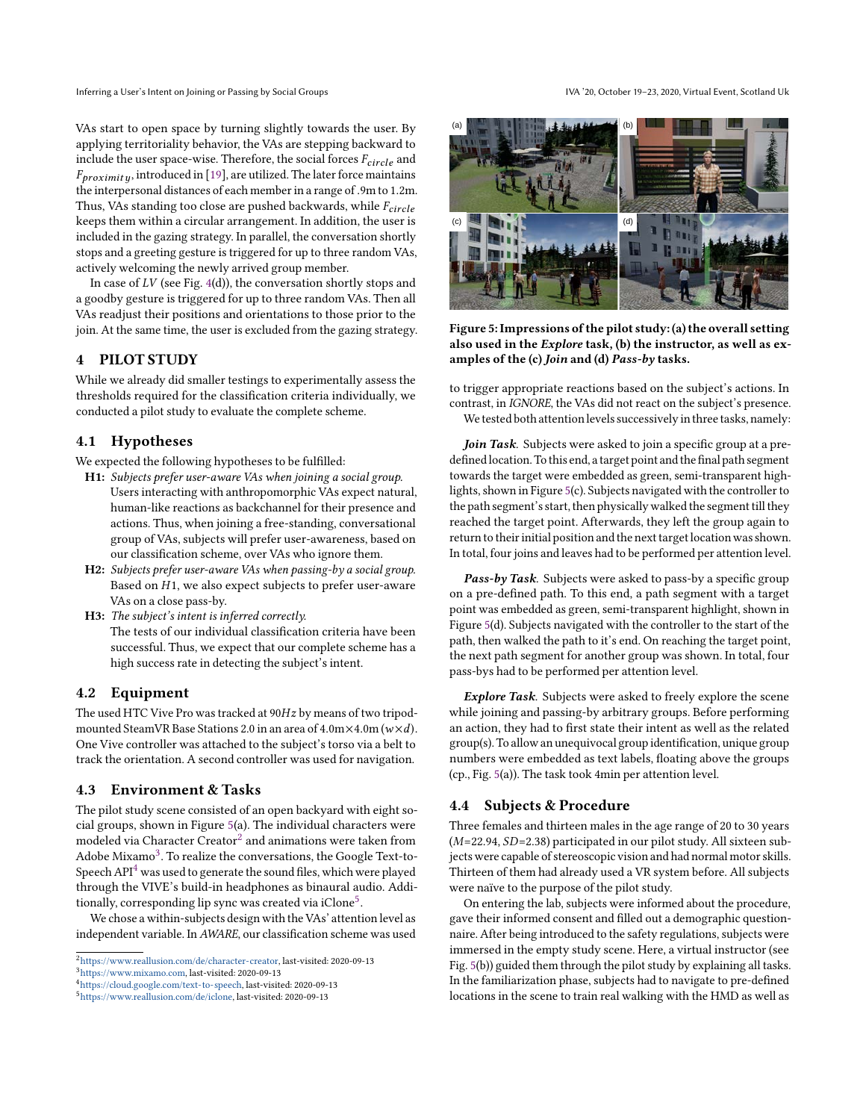VAs start to open space by turning slightly towards the user. By applying territoriality behavior, the VAs are stepping backward to include the user space-wise. Therefore, the social forces  $F_{circle}$  and  $F_{proximitu}$ , introduced in [\[19\]](#page-7-9), are utilized. The later force maintains the interpersonal distances of each member in a range of .9m to 1.2m. Thus, VAs standing too close are pushed backwards, while  $F_{circle}$ keeps them within a circular arrangement. In addition, the user is included in the gazing strategy. In parallel, the conversation shortly stops and a greeting gesture is triggered for up to three random VAs, actively welcoming the newly arrived group member.

In case of  $LV$  (see Fig. [4\(](#page-3-2)d)), the conversation shortly stops and a goodby gesture is triggered for up to three random VAs. Then all VAs readjust their positions and orientations to those prior to the join. At the same time, the user is excluded from the gazing strategy.

## <span id="page-4-0"></span>4 PILOT STUDY

While we already did smaller testings to experimentally assess the thresholds required for the classification criteria individually, we conducted a pilot study to evaluate the complete scheme.

## 4.1 Hypotheses

We expected the following hypotheses to be fulfilled:

- H1: Subjects prefer user-aware VAs when joining a social group. Users interacting with anthropomorphic VAs expect natural, human-like reactions as backchannel for their presence and actions. Thus, when joining a free-standing, conversational group of VAs, subjects will prefer user-awareness, based on our classification scheme, over VAs who ignore them.
- H2: Subjects prefer user-aware VAs when passing-by a social group. Based on  $H1$ , we also expect subjects to prefer user-aware VAs on a close pass-by.
- H3: The subject's intent is inferred correctly. The tests of our individual classification criteria have been successful. Thus, we expect that our complete scheme has a high success rate in detecting the subject's intent.

### 4.2 Equipment

The used HTC Vive Pro was tracked at  $90Hz$  by means of two tripodmounted SteamVR Base Stations 2.0 in an area of  $4.0 \text{m} \times 4.0 \text{m}$  ( $w \times d$ ). One Vive controller was attached to the subject's torso via a belt to track the orientation. A second controller was used for navigation.

## 4.3 Environment & Tasks

The pilot study scene consisted of an open backyard with eight social groups, shown in Figure [5\(](#page-4-1)a). The individual characters were modeled via Character Creator $^2$  $^2$  and animations were taken from Adobe Mixamo $3$ . To realize the conversations, the Google Text-to-Speech API $4$  was used to generate the sound files, which were played through the VIVE's build-in headphones as binaural audio. Addi-tionally, corresponding lip sync was created via iClone<sup>[5](#page-4-5)</sup>.

We chose a within-subjects design with the VAs' attention level as independent variable. In AWARE, our classification scheme was used

<span id="page-4-3"></span><sup>3</sup>[https://www.mixamo.com,](https://www.mixamo.com) last-visited: 2020-09-13

Inferring a User's Intent on Joining or Passing by Social Groups **IVA '20, October 19-23, 2020**, Virtual Event, Scotland Uk

<span id="page-4-1"></span>

Figure 5: Impressions of the pilot study: (a) the overall setting also used in the Explore task, (b) the instructor, as well as examples of the (c) Join and (d) Pass-by tasks.

to trigger appropriate reactions based on the subject's actions. In contrast, in IGNORE, the VAs did not react on the subject's presence. We tested both attention levels successively in three tasks, namely:

Join Task. Subjects were asked to join a specific group at a predefined location. To this end, a target point and the final path segment towards the target were embedded as green, semi-transparent highlights, shown in Figure [5\(](#page-4-1)c). Subjects navigated with the controller to the path segment's start, then physically walked the segment till they reached the target point. Afterwards, they left the group again to return to their initial position and the next target location was shown. In total, four joins and leaves had to be performed per attention level.

Pass-by Task. Subjects were asked to pass-by a specific group on a pre-defined path. To this end, a path segment with a target point was embedded as green, semi-transparent highlight, shown in Figure [5\(](#page-4-1)d). Subjects navigated with the controller to the start of the path, then walked the path to it's end. On reaching the target point, the next path segment for another group was shown. In total, four pass-bys had to be performed per attention level.

Explore Task. Subjects were asked to freely explore the scene while joining and passing-by arbitrary groups. Before performing an action, they had to first state their intent as well as the related group(s). To allow an unequivocal group identification, unique group numbers were embedded as text labels, floating above the groups (cp., Fig. [5\(](#page-4-1)a)). The task took 4min per attention level.

## 4.4 Subjects & Procedure

Three females and thirteen males in the age range of 20 to 30 years  $(M=22.94, SD=2.38)$  participated in our pilot study. All sixteen subjects were capable of stereoscopic vision and had normal motor skills. Thirteen of them had already used a VR system before. All subjects were naïve to the purpose of the pilot study.

On entering the lab, subjects were informed about the procedure, gave their informed consent and filled out a demographic questionnaire. After being introduced to the safety regulations, subjects were immersed in the empty study scene. Here, a virtual instructor (see Fig. [5\(](#page-4-1)b)) guided them through the pilot study by explaining all tasks. In the familiarization phase, subjects had to navigate to pre-defined locations in the scene to train real walking with the HMD as well as

<span id="page-4-2"></span><sup>2</sup>[https://www.reallusion.com/de/character-creator,](https://www.reallusion.com/de/character-creator) last-visited: 2020-09-13

<span id="page-4-4"></span><sup>4</sup>[https://cloud.google.com/text-to-speech,](https://cloud.google.com/text-to-speech) last-visited: 2020-09-13

<span id="page-4-5"></span><sup>5</sup>[https://www.reallusion.com/de/iclone,](https://www.reallusion.com/de/iclone) last-visited: 2020-09-13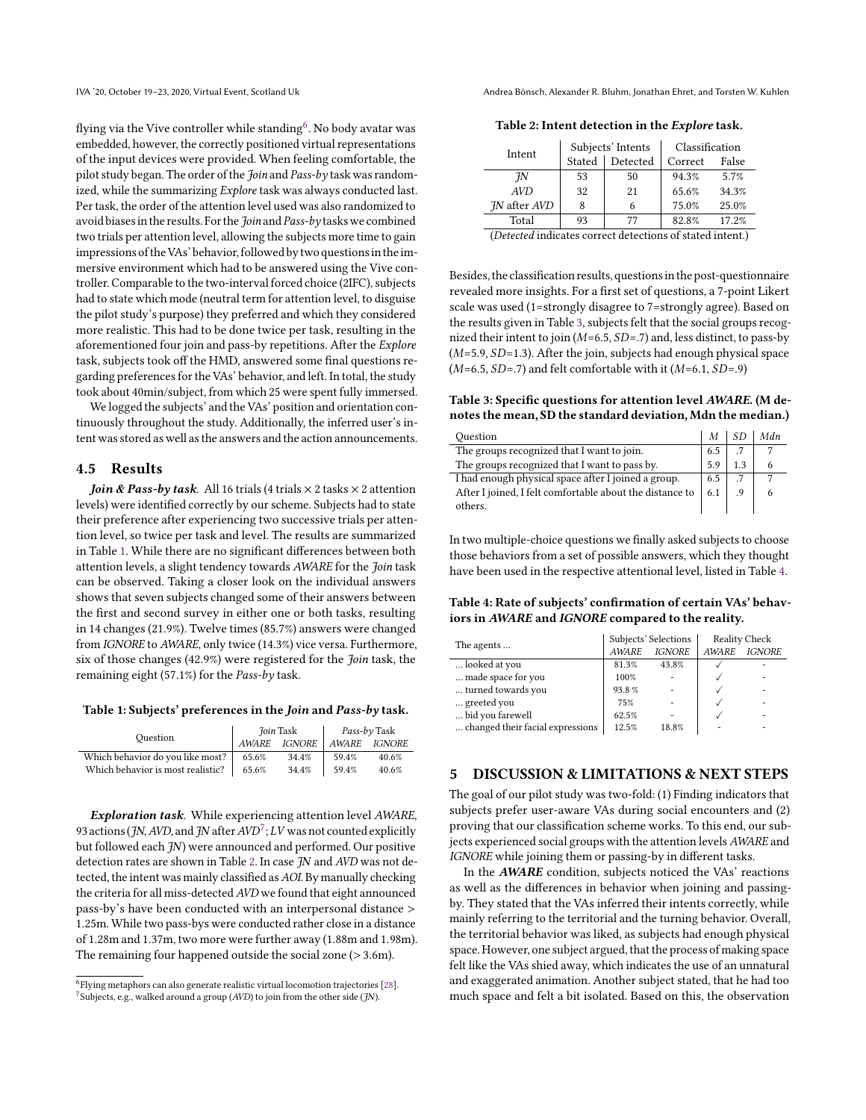flying via the Vive controller while standing $^6$  $^6$ . No body avatar was embedded, however, the correctly positioned virtual representations of the input devices were provided. When feeling comfortable, the pilot study began. The order of the Join and Pass-by task was randomized, while the summarizing Explore task was always conducted last. Per task, the order of the attention level used was also randomized to avoid biases in the results. For the  $Join$  and  $Pass-by$  tasks we combined two trials per attention level, allowing the subjects more time to gain impressions of the VAs' behavior, followed by two questions in the immersive environment which had to be answered using the Vive controller. Comparable to the two-interval forced choice (2IFC), subjects had to state which mode (neutral term for attention level, to disguise the pilot study's purpose) they preferred and which they considered more realistic. This had to be done twice per task, resulting in the aforementioned four join and pass-by repetitions. After the Explore task, subjects took off the HMD, answered some final questions regarding preferences for the VAs' behavior, and left. In total, the study took about 40min/subject, from which 25 were spent fully immersed.

We logged the subjects' and the VAs' position and orientation continuously throughout the study. Additionally, the inferred user's intent was stored as well as the answers and the action announcements.

#### 4.5 Results

Join & Pass-by task. All 16 trials (4 trials  $\times$  2 tasks  $\times$  2 attention levels) were identified correctly by our scheme. Subjects had to state their preference after experiencing two successive trials per attention level, so twice per task and level. The results are summarized in Table [1.](#page-5-2) While there are no significant differences between both attention levels, a slight tendency towards AWARE for the Join task can be observed. Taking a closer look on the individual answers shows that seven subjects changed some of their answers between the first and second survey in either one or both tasks, resulting in 14 changes (21.9%). Twelve times (85.7%) answers were changed from IGNORE to AWARE, only twice (14.3%) vice versa. Furthermore, six of those changes (42.9%) were registered for the Join task, the remaining eight (57.1%) for the Pass-by task.

#### <span id="page-5-2"></span>Table 1: Subjects' preferences in the Join and Pass-by task.

| Ouestion                          | Join Task |               | Pass-by Task |                      |
|-----------------------------------|-----------|---------------|--------------|----------------------|
|                                   | AWARE     | <b>IGNORE</b> | AWARE        | <i><b>IGNORE</b></i> |
| Which behavior do you like most?  | 65.6%     | 34.4%         | 59.4%        | 40.6%                |
| Which behavior is most realistic? | 65.6%     | 34.4%         | 59.4%        | 40.6%                |

Exploration task. While experiencing attention level AWARE, 93 actions (*JN, AVD, and JN after*  $AVD<sup>7</sup>$  $AVD<sup>7</sup>$  $AVD<sup>7</sup>$ *; LV* was not counted explicitly but followed each JN) were announced and performed. Our positive detection rates are shown in Table [2.](#page-5-4) In case JN and AVD was not detected, the intent was mainly classified as AOI. By manually checking the criteria for all miss-detected AVD we found that eight announced pass-by's have been conducted with an interpersonal distance > 1.25m. While two pass-bys were conducted rather close in a distance of 1.28m and 1.37m, two more were further away (1.88m and 1.98m). The remaining four happened outside the social zone  $(>3.6$ m).

IVA '20, October 19-23, 2020, Virtual Event, Scotland Uk Andrea Bönsch, Alexander R. Bluhm, Jonathan Ehret, and Torsten W. Kuhlen

<span id="page-5-4"></span>Table 2: Intent detection in the Explore task.

| Intent                                |        | Subjects' Intents | Classification |       |  |
|---------------------------------------|--------|-------------------|----------------|-------|--|
|                                       | Stated | Detected          | Correct        | False |  |
| ΉN                                    | 53     | 50                | 94.3%          | 5.7%  |  |
| <b>AVD</b>                            | 32     | 21                | 65.6%          | 34.3% |  |
| <i>JN</i> after <i>AVD</i>            | 8      |                   | 75.0%          | 25.0% |  |
| Total                                 | 93     | 77                | 82.8%          | 17.2% |  |
| (Detoted in diameter generated data), |        |                   |                |       |  |

(Detected indicates correct detections of stated intent.)

Besides, the classification results, questionsin the post-questionnaire revealed more insights. For a first set of questions, a 7-point Likert scale was used (1=strongly disagree to 7=strongly agree). Based on the results given in Table [3,](#page-5-5) subjects felt that the social groups recognized their intent to join ( $M=6.5$ ,  $SD=7$ ) and, less distinct, to pass-by  $(M=5.9, SD=1.3)$ . After the join, subjects had enough physical space  $(M=6.5, SD=7)$  and felt comfortable with it  $(M=6.1, SD=9)$ 

<span id="page-5-5"></span>Table 3: Specific questions for attention level AWARE. (M denotes the mean, SD the standard deviation, Mdn the median.)

| Ouestion                                                 | М   | SD.     | Mdn |
|----------------------------------------------------------|-----|---------|-----|
| The groups recognized that I want to join.               | 6.5 | .7      |     |
| The groups recognized that I want to pass by.            | 59  | 13      | 6   |
| I had enough physical space after I joined a group.      | 6.5 | .7      |     |
| After I joined, I felt comfortable about the distance to |     | $\cdot$ | 6   |
| others.                                                  |     |         |     |

In two multiple-choice questions we finally asked subjects to choose those behaviors from a set of possible answers, which they thought have been used in the respective attentional level, listed in Table [4.](#page-5-6)

<span id="page-5-6"></span>Table 4: Rate of subjects' confirmation of certain VAs' behaviors in AWARE and IGNORE compared to the reality.

|                                  | Subjects' Selections |               | Reality Check |               |
|----------------------------------|----------------------|---------------|---------------|---------------|
| The agents                       | <b>AWARE</b>         | <b>IGNORE</b> | <b>AWARE</b>  | <b>IGNORE</b> |
| looked at you                    | 81.3%                | 43.8%         |               |               |
| made space for you               | 100%                 |               |               |               |
| turned towards you               | 93.8%                |               |               |               |
| greeted you                      | 75%                  |               |               |               |
| bid you farewell                 | 62.5%                |               |               |               |
| changed their facial expressions | 12.5%                | 18.8%         |               |               |

## <span id="page-5-0"></span>5 DISCUSSION & LIMITATIONS & NEXT STEPS

The goal of our pilot study was two-fold: (1) Finding indicators that subjects prefer user-aware VAs during social encounters and (2) proving that our classification scheme works. To this end, our subjects experienced social groups with the attention levels AWARE and IGNORE while joining them or passing-by in different tasks.

In the AWARE condition, subjects noticed the VAs' reactions as well as the differences in behavior when joining and passingby. They stated that the VAs inferred their intents correctly, while mainly referring to the territorial and the turning behavior. Overall, the territorial behavior was liked, as subjects had enough physical space. However, one subject argued, that the process of making space felt like the VAs shied away, which indicates the use of an unnatural and exaggerated animation. Another subject stated, that he had too much space and felt a bit isolated. Based on this, the observation

<span id="page-5-3"></span><span id="page-5-1"></span><sup>6</sup> Flying metaphors can also generate realistic virtual locomotion trajectories [\[28\]](#page-7-40). <sup>7</sup>Subjects, e.g., walked around a group (AVD) to join from the other side (JN).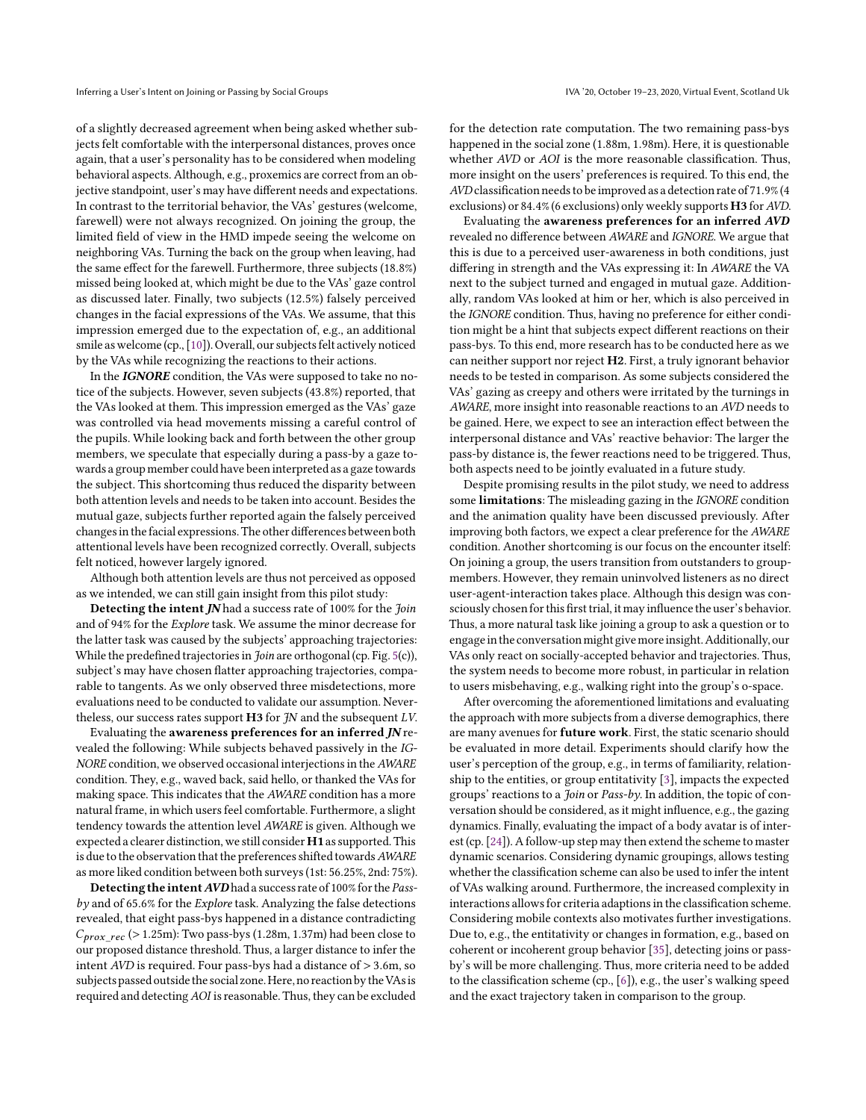of a slightly decreased agreement when being asked whether subjects felt comfortable with the interpersonal distances, proves once again, that a user's personality has to be considered when modeling behavioral aspects. Although, e.g., proxemics are correct from an objective standpoint, user's may have different needs and expectations. In contrast to the territorial behavior, the VAs' gestures (welcome, farewell) were not always recognized. On joining the group, the limited field of view in the HMD impede seeing the welcome on neighboring VAs. Turning the back on the group when leaving, had the same effect for the farewell. Furthermore, three subjects (18.8%) missed being looked at, which might be due to the VAs' gaze control as discussed later. Finally, two subjects (12.5%) falsely perceived changes in the facial expressions of the VAs. We assume, that this impression emerged due to the expectation of, e.g., an additional smile as welcome(cp., [\[10\]](#page-7-26)). Overall, our subjects felt actively noticed by the VAs while recognizing the reactions to their actions.

In the IGNORE condition, the VAs were supposed to take no notice of the subjects. However, seven subjects (43.8%) reported, that the VAs looked at them. This impression emerged as the VAs' gaze was controlled via head movements missing a careful control of the pupils. While looking back and forth between the other group members, we speculate that especially during a pass-by a gaze towards a group member could have been interpreted as a gaze towards the subject. This shortcoming thus reduced the disparity between both attention levels and needs to be taken into account. Besides the mutual gaze, subjects further reported again the falsely perceived changes in the facial expressions. The other differences between both attentional levels have been recognized correctly. Overall, subjects felt noticed, however largely ignored.

Although both attention levels are thus not perceived as opposed as we intended, we can still gain insight from this pilot study:

Detecting the intent *JN* had a success rate of 100% for the *Join* and of 94% for the Explore task. We assume the minor decrease for the latter task was caused by the subjects' approaching trajectories: While the predefined trajectories in *Join* are orthogonal (cp. Fig. [5\(](#page-4-1)c)), subject's may have chosen flatter approaching trajectories, comparable to tangents. As we only observed three misdetections, more evaluations need to be conducted to validate our assumption. Nevertheless, our success rates support  $H3$  for  $J/N$  and the subsequent  $LV$ .

Evaluating the awareness preferences for an inferred JN revealed the following: While subjects behaved passively in the IG-NORE condition, we observed occasional interjections in the AWARE condition. They, e.g., waved back, said hello, or thanked the VAs for making space. This indicates that the AWARE condition has a more natural frame, in which users feel comfortable. Furthermore, a slight tendency towards the attention level AWARE is given. Although we expected a clearer distinction, we still consider H1 as supported. This is due to the observation that the preferences shifted towards AWARE as more liked condition between both surveys (1st: 56.25%, 2nd: 75%).

Detecting the intent AVD had a success rate of 100% for the Passby and of 65.6% for the Explore task. Analyzing the false detections revealed, that eight pass-bys happened in a distance contradicting  $C_{prox}$  rec (>1.25m): Two pass-bys (1.28m, 1.37m) had been close to our proposed distance threshold. Thus, a larger distance to infer the intent AVD is required. Four pass-bys had a distance of >3.6m, so subjects passed outside the social zone. Here, no reaction by the VAs is required and detecting AOI is reasonable. Thus, they can be excluded

for the detection rate computation. The two remaining pass-bys happened in the social zone (1.88m, 1.98m). Here, it is questionable whether AVD or AOI is the more reasonable classification. Thus, more insight on the users' preferences is required. To this end, the AVD classification needs to be improved as a detection rate of 71.9%(4 exclusions) or 84.4% (6 exclusions) only weekly supports **H3** for AVD.

Evaluating the awareness preferences for an inferred AVD revealed no difference between AWARE and IGNORE. We argue that this is due to a perceived user-awareness in both conditions, just differing in strength and the VAs expressing it: In AWARE the VA next to the subject turned and engaged in mutual gaze. Additionally, random VAs looked at him or her, which is also perceived in the IGNORE condition. Thus, having no preference for either condition might be a hint that subjects expect different reactions on their pass-bys. To this end, more research has to be conducted here as we can neither support nor reject H2. First, a truly ignorant behavior needs to be tested in comparison. As some subjects considered the VAs' gazing as creepy and others were irritated by the turnings in AWARE, more insight into reasonable reactions to an AVD needs to be gained. Here, we expect to see an interaction effect between the interpersonal distance and VAs' reactive behavior: The larger the pass-by distance is, the fewer reactions need to be triggered. Thus, both aspects need to be jointly evaluated in a future study.

Despite promising results in the pilot study, we need to address some limitations: The misleading gazing in the IGNORE condition and the animation quality have been discussed previously. After improving both factors, we expect a clear preference for the AWARE condition. Another shortcoming is our focus on the encounter itself: On joining a group, the users transition from outstanders to groupmembers. However, they remain uninvolved listeners as no direct user-agent-interaction takes place. Although this design was consciously chosen for this first trial, it may influence the user's behavior. Thus, a more natural task like joining a group to ask a question or to engage in the conversation might give more insight. Additionally, our VAs only react on socially-accepted behavior and trajectories. Thus, the system needs to become more robust, in particular in relation to users misbehaving, e.g., walking right into the group's o-space.

After overcoming the aforementioned limitations and evaluating the approach with more subjects from a diverse demographics, there are many avenues for future work. First, the static scenario should be evaluated in more detail. Experiments should clarify how the user's perception of the group, e.g., in terms of familiarity, relationship to the entities, or group entitativity [\[3\]](#page-7-41), impacts the expected groups' reactions to a Join or Pass-by. In addition, the topic of conversation should be considered, as it might influence, e.g., the gazing dynamics. Finally, evaluating the impact of a body avatar is of interest (cp. [\[24\]](#page-7-17)). A follow-up step may then extend the scheme to master dynamic scenarios. Considering dynamic groupings, allows testing whether the classification scheme can also be used to infer the intent of VAs walking around. Furthermore, the increased complexity in interactions allows for criteria adaptions in the classification scheme. Considering mobile contexts also motivates further investigations. Due to, e.g., the entitativity or changes in formation, e.g., based on coherent or incoherent group behavior [\[35\]](#page-7-4), detecting joins or passby's will be more challenging. Thus, more criteria need to be added to the classification scheme (cp., [\[6\]](#page-7-31)), e.g., the user's walking speed and the exact trajectory taken in comparison to the group.